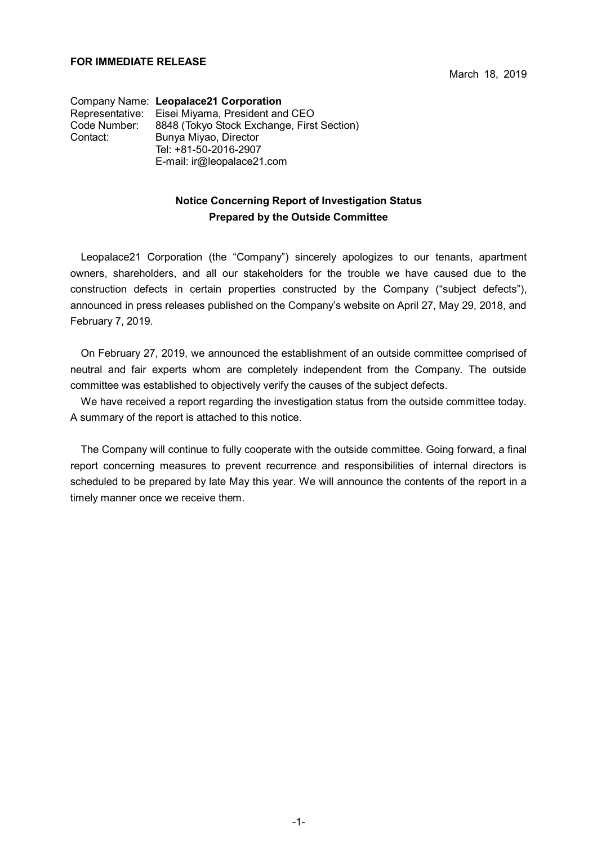Company Name: **Leopalace21 Corporation** Representative: Eisei Miyama, President and CEO Code Number: 8848 (Tokyo Stock Exchange, First Section) Contact: Bunya Miyao, Director Tel: +81-50-2016-2907 E-mail: ir@leopalace21.com

## **Notice Concerning Report of Investigation Status Prepared by the Outside Committee**

Leopalace21 Corporation (the "Company") sincerely apologizes to our tenants, apartment owners, shareholders, and all our stakeholders for the trouble we have caused due to the construction defects in certain properties constructed by the Company ("subject defects"), announced in press releases published on the Company's website on April 27, May 29, 2018, and February 7, 2019.

On February 27, 2019, we announced the establishment of an outside committee comprised of neutral and fair experts whom are completely independent from the Company. The outside committee was established to objectively verify the causes of the subject defects.

We have received a report regarding the investigation status from the outside committee today. A summary of the report is attached to this notice.

The Company will continue to fully cooperate with the outside committee. Going forward, a final report concerning measures to prevent recurrence and responsibilities of internal directors is scheduled to be prepared by late May this year. We will announce the contents of the report in a timely manner once we receive them.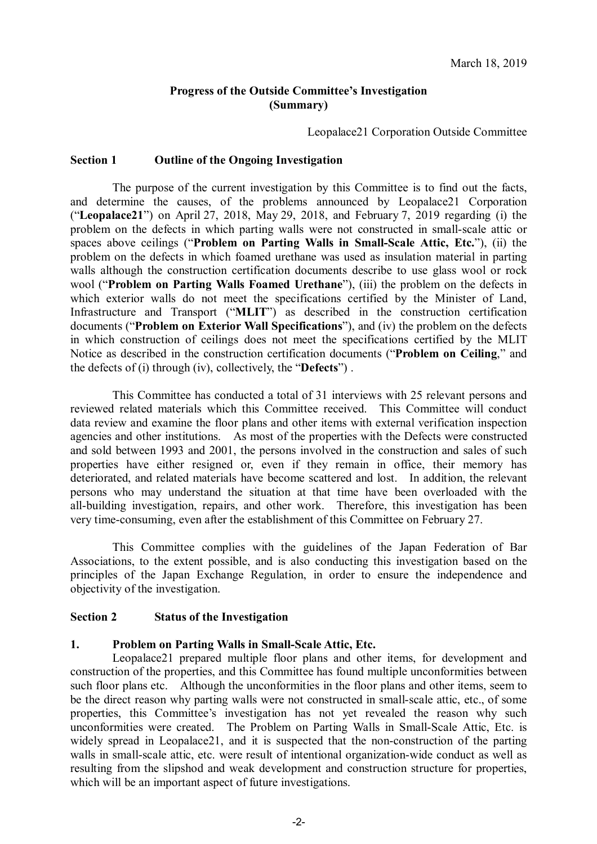# **Progress of the Outside Committee's Investigation (Summary)**

Leopalace21 Corporation Outside Committee

#### **Section 1 Outline of the Ongoing Investigation**

The purpose of the current investigation by this Committee is to find out the facts, and determine the causes, of the problems announced by Leopalace21 Corporation ("**Leopalace21**") on April 27, 2018, May 29, 2018, and February 7, 2019 regarding (i) the problem on the defects in which parting walls were not constructed in small-scale attic or spaces above ceilings ("**Problem on Parting Walls in Small-Scale Attic, Etc.**"), (ii) the problem on the defects in which foamed urethane was used as insulation material in parting walls although the construction certification documents describe to use glass wool or rock wool ("**Problem on Parting Walls Foamed Urethane**"), (iii) the problem on the defects in which exterior walls do not meet the specifications certified by the Minister of Land, Infrastructure and Transport ("**MLIT**") as described in the construction certification documents ("**Problem on Exterior Wall Specifications**"), and (iv) the problem on the defects in which construction of ceilings does not meet the specifications certified by the MLIT Notice as described in the construction certification documents ("**Problem on Ceiling**," and the defects of (i) through (iv), collectively, the "**Defects**") .

This Committee has conducted a total of 31 interviews with 25 relevant persons and reviewed related materials which this Committee received. This Committee will conduct data review and examine the floor plans and other items with external verification inspection agencies and other institutions. As most of the properties with the Defects were constructed and sold between 1993 and 2001, the persons involved in the construction and sales of such properties have either resigned or, even if they remain in office, their memory has deteriorated, and related materials have become scattered and lost. In addition, the relevant persons who may understand the situation at that time have been overloaded with the all-building investigation, repairs, and other work. Therefore, this investigation has been very time-consuming, even after the establishment of this Committee on February 27.

This Committee complies with the guidelines of the Japan Federation of Bar Associations, to the extent possible, and is also conducting this investigation based on the principles of the Japan Exchange Regulation, in order to ensure the independence and objectivity of the investigation.

#### **Section 2 Status of the Investigation**

#### **1. Problem on Parting Walls in Small-Scale Attic, Etc.**

Leopalace21 prepared multiple floor plans and other items, for development and construction of the properties, and this Committee has found multiple unconformities between such floor plans etc. Although the unconformities in the floor plans and other items, seem to be the direct reason why parting walls were not constructed in small-scale attic, etc., of some properties, this Committee's investigation has not yet revealed the reason why such unconformities were created. The Problem on Parting Walls in Small-Scale Attic, Etc. is widely spread in Leopalace21, and it is suspected that the non-construction of the parting walls in small-scale attic, etc. were result of intentional organization-wide conduct as well as resulting from the slipshod and weak development and construction structure for properties, which will be an important aspect of future investigations.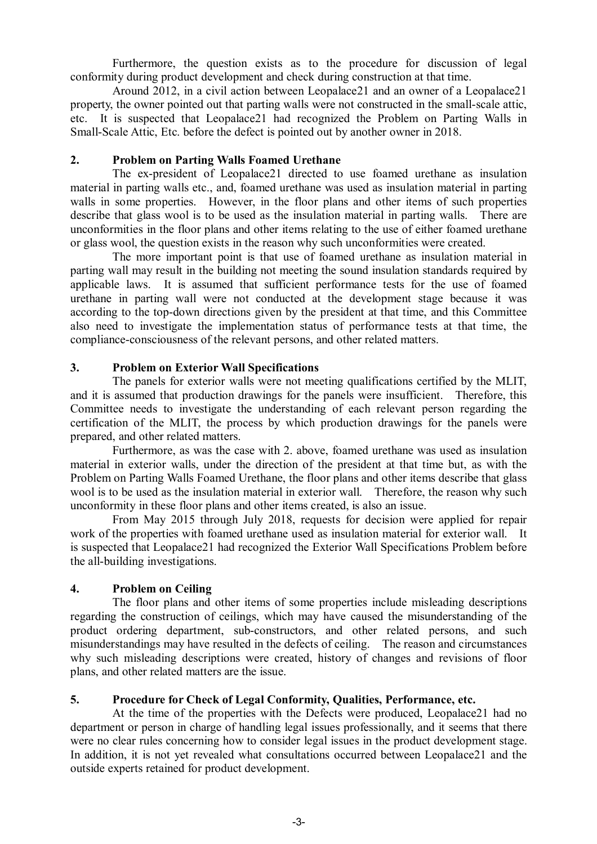Furthermore, the question exists as to the procedure for discussion of legal conformity during product development and check during construction at that time.

Around 2012, in a civil action between Leopalace21 and an owner of a Leopalace21 property, the owner pointed out that parting walls were not constructed in the small-scale attic, etc. It is suspected that Leopalace21 had recognized the Problem on Parting Walls in Small-Scale Attic, Etc. before the defect is pointed out by another owner in 2018.

## **2. Problem on Parting Walls Foamed Urethane**

The ex-president of Leopalace21 directed to use foamed urethane as insulation material in parting walls etc., and, foamed urethane was used as insulation material in parting walls in some properties. However, in the floor plans and other items of such properties describe that glass wool is to be used as the insulation material in parting walls. There are unconformities in the floor plans and other items relating to the use of either foamed urethane or glass wool, the question exists in the reason why such unconformities were created.

The more important point is that use of foamed urethane as insulation material in parting wall may result in the building not meeting the sound insulation standards required by applicable laws. It is assumed that sufficient performance tests for the use of foamed urethane in parting wall were not conducted at the development stage because it was according to the top-down directions given by the president at that time, and this Committee also need to investigate the implementation status of performance tests at that time, the compliance-consciousness of the relevant persons, and other related matters.

# **3. Problem on Exterior Wall Specifications**

The panels for exterior walls were not meeting qualifications certified by the MLIT, and it is assumed that production drawings for the panels were insufficient. Therefore, this Committee needs to investigate the understanding of each relevant person regarding the certification of the MLIT, the process by which production drawings for the panels were prepared, and other related matters.

Furthermore, as was the case with 2. above, foamed urethane was used as insulation material in exterior walls, under the direction of the president at that time but, as with the Problem on Parting Walls Foamed Urethane, the floor plans and other items describe that glass wool is to be used as the insulation material in exterior wall. Therefore, the reason why such unconformity in these floor plans and other items created, is also an issue.

From May 2015 through July 2018, requests for decision were applied for repair work of the properties with foamed urethane used as insulation material for exterior wall. It is suspected that Leopalace21 had recognized the Exterior Wall Specifications Problem before the all-building investigations.

#### **4. Problem on Ceiling**

The floor plans and other items of some properties include misleading descriptions regarding the construction of ceilings, which may have caused the misunderstanding of the product ordering department, sub-constructors, and other related persons, and such misunderstandings may have resulted in the defects of ceiling. The reason and circumstances why such misleading descriptions were created, history of changes and revisions of floor plans, and other related matters are the issue.

# **5. Procedure for Check of Legal Conformity, Qualities, Performance, etc.**

At the time of the properties with the Defects were produced, Leopalace21 had no department or person in charge of handling legal issues professionally, and it seems that there were no clear rules concerning how to consider legal issues in the product development stage. In addition, it is not yet revealed what consultations occurred between Leopalace21 and the outside experts retained for product development.